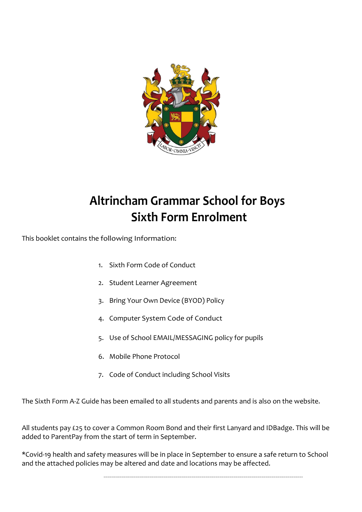

# **Altrincham Grammar School for Boys Sixth Form Enrolment**

This booklet contains the following Information:

- 1. Sixth Form Code of Conduct
- 2. Student Learner Agreement
- 3. Bring Your Own Device (BYOD) Policy
- 4. Computer System Code of Conduct
- 5. Use of School EMAIL/MESSAGING policy for pupils
- 6. Mobile Phone Protocol
- 7. Code of Conduct including School Visits

The Sixth Form A-Z Guide has been emailed to all students and parents and is also on the website.

All students pay £25 to cover a Common Room Bond and their first Lanyard and IDBadge. This will be added to ParentPay from the start of term in September.

\*Covid-19 health and safety measures will be in place in September to ensure a safe return to School and the attached policies may be altered and date and locations may be affected.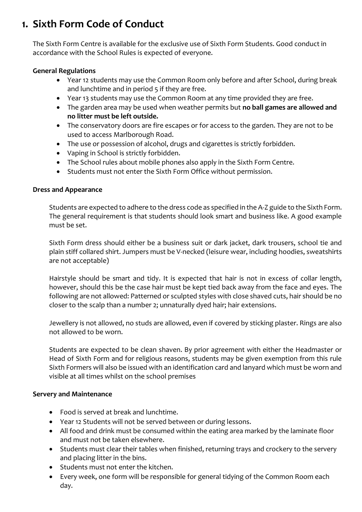# **1. Sixth Form Code of Conduct**

The Sixth Form Centre is available for the exclusive use of Sixth Form Students. Good conduct in accordance with the School Rules is expected of everyone.

### **General Regulations**

- Year 12 students may use the Common Room only before and after School, during break and lunchtime and in period 5 if they are free.
- Year 13 students may use the Common Room at any time provided they are free.
- The garden area may be used when weather permits but **no ball games are allowed and no litter must be left outside.**
- The conservatory doors are fire escapes or for access to the garden. They are not to be used to access Marlborough Road.
- The use or possession of alcohol, drugs and cigarettes is strictly forbidden.
- Vaping in School is strictly forbidden.
- The School rules about mobile phones also apply in the Sixth Form Centre.
- Students must not enter the Sixth Form Office without permission.

#### **Dress and Appearance**

Students are expected to adhere to the dress code as specified in the A-Z guide to the Sixth Form. The general requirement is that students should look smart and business like. A good example must be set.

Sixth Form dress should either be a business suit or dark jacket, dark trousers, school tie and plain stiff collared shirt. Jumpers must be V-necked (leisure wear, including hoodies, sweatshirts are not acceptable)

Hairstyle should be smart and tidy. It is expected that hair is not in excess of collar length, however, should this be the case hair must be kept tied back away from the face and eyes. The following are not allowed: Patterned or sculpted styles with close shaved cuts, hair should be no closer to the scalp than a number 2; unnaturally dyed hair; hair extensions.

Jewellery is not allowed, no studs are allowed, even if covered by sticking plaster. Rings are also not allowed to be worn.

Students are expected to be clean shaven. By prior agreement with either the Headmaster or Head of Sixth Form and for religious reasons, students may be given exemption from this rule Sixth Formers will also be issued with an identification card and lanyard which must be worn and visible at all times whilst on the school premises

#### **Servery and Maintenance**

- Food is served at break and lunchtime.
- Year 12 Students will not be served between or during lessons.
- All food and drink must be consumed within the eating area marked by the laminate floor and must not be taken elsewhere.
- Students must clear their tables when finished, returning trays and crockery to the servery and placing litter in the bins.
- Students must not enter the kitchen.
- Every week, one form will be responsible for general tidying of the Common Room each day.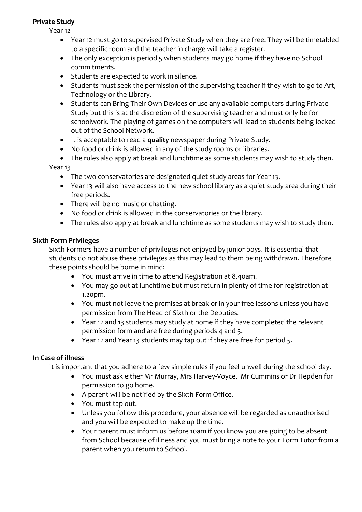#### **Private Study**

Year 12

- Year 12 must go to supervised Private Study when they are free. They will be timetabled to a specific room and the teacher in charge will take a register.
- The only exception is period 5 when students may go home if they have no School commitments.
- Students are expected to work in silence.
- Students must seek the permission of the supervising teacher if they wish to go to Art, Technology or the Library.
- Students can Bring Their Own Devices or use any available computers during Private Study but this is at the discretion of the supervising teacher and must only be for schoolwork. The playing of games on the computers will lead to students being locked out of the School Network.
- It is acceptable to read a **quality** newspaper during Private Study.
- No food or drink is allowed in any of the study rooms or libraries.

• The rules also apply at break and lunchtime as some students may wish to study then. Year 13

# • The two conservatories are designated quiet study areas for Year 13.

- Year 13 will also have access to the new school library as a quiet study area during their free periods.
- There will be no music or chatting.
- No food or drink is allowed in the conservatories or the library.
- The rules also apply at break and lunchtime as some students may wish to study then.

### **Sixth Form Privileges**

Sixth Formers have a number of privileges not enjoyed by junior boys. It is essential that students do not abuse these privileges as this may lead to them being withdrawn. Therefore these points should be borne in mind:

- You must arrive in time to attend Registration at 8.40am.
- You may go out at lunchtime but must return in plenty of time for registration at 1.20pm.
- You must not leave the premises at break or in your free lessons unless you have permission from The Head of Sixth or the Deputies.
- Year 12 and 13 students may study at home if they have completed the relevant permission form and are free during periods 4 and 5.
- Year 12 and Year 13 students may tap out if they are free for period 5.

#### **In Case of illness**

It is important that you adhere to a few simple rules if you feel unwell during the school day.

- You must ask either Mr Murray, Mrs Harvey-Voyce, Mr Cummins or Dr Hepden for permission to go home.
- A parent will be notified by the Sixth Form Office.
- You must tap out.
- Unless you follow this procedure, your absence will be regarded as unauthorised and you will be expected to make up the time.
- Your parent must inform us before 10am if you know you are going to be absent from School because of illness and you must bring a note to your Form Tutor from a parent when you return to School.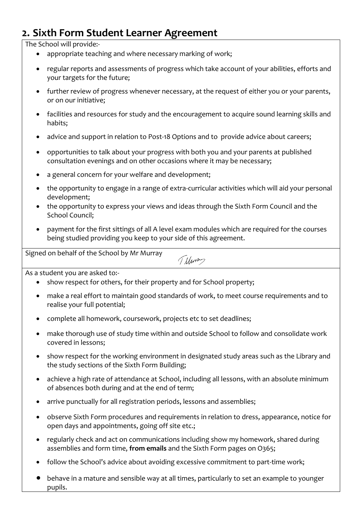# **2. Sixth Form Student Learner Agreement**

The School will provide:-

- appropriate teaching and where necessary marking of work;
- regular reports and assessments of progress which take account of your abilities, efforts and your targets for the future;
- further review of progress whenever necessary, at the request of either you or your parents, or on our initiative;
- facilities and resources for study and the encouragement to acquire sound learning skills and habits;
- advice and support in relation to Post-18 Options and to provide advice about careers;
- opportunities to talk about your progress with both you and your parents at published consultation evenings and on other occasions where it may be necessary;
- a general concern for your welfare and development;
- the opportunity to engage in a range of extra-curricular activities which will aid your personal development;
- the opportunity to express your views and ideas through the Sixth Form Council and the School Council;
- payment for the first sittings of all A level exam modules which are required for the courses being studied providing you keep to your side of this agreement.

Signed on behalf of the School by Mr Murray

Tilums

As a student you are asked to:-

- show respect for others, for their property and for School property;
- make a real effort to maintain good standards of work, to meet course requirements and to realise your full potential;
- complete all homework, coursework, projects etc to set deadlines;
- make thorough use of study time within and outside School to follow and consolidate work covered in lessons;
- show respect for the working environment in designated study areas such as the Library and the study sections of the Sixth Form Building;
- achieve a high rate of attendance at School, including all lessons, with an absolute minimum of absences both during and at the end of term;
- arrive punctually for all registration periods, lessons and assemblies;
- observe Sixth Form procedures and requirements in relation to dress, appearance, notice for open days and appointments, going off site etc.;
- regularly check and act on communications including show my homework, shared during assemblies and form time, **from emails** and the Sixth Form pages on O365;
- follow the School's advice about avoiding excessive commitment to part-time work;
- behave in a mature and sensible way at all times, particularly to set an example to younger pupils.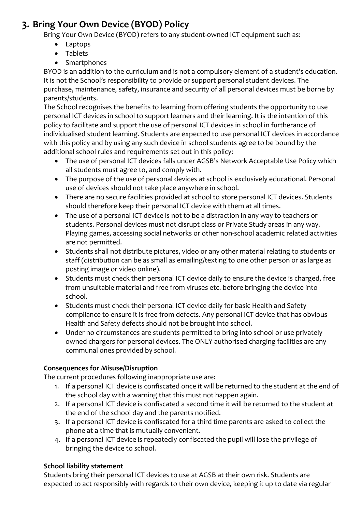# **3. Bring Your Own Device (BYOD) Policy**

Bring Your Own Device (BYOD) refers to any student-owned ICT equipment such as:

- Laptops
- Tablets
- Smartphones

BYOD is an addition to the curriculum and is not a compulsory element of a student's education. It is not the School's responsibility to provide or support personal student devices. The purchase, maintenance, safety, insurance and security of all personal devices must be borne by parents/students.

The School recognises the benefits to learning from offering students the opportunity to use personal ICT devices in school to support learners and their learning. It is the intention of this policy to facilitate and support the use of personal ICT devices in school in furtherance of individualised student learning. Students are expected to use personal ICT devices in accordance with this policy and by using any such device in school students agree to be bound by the additional school rules and requirements set out in this policy:

- The use of personal ICT devices falls under AGSB's Network Acceptable Use Policy which all students must agree to, and comply with.
- The purpose of the use of personal devices at school is exclusively educational. Personal use of devices should not take place anywhere in school.
- There are no secure facilities provided at school to store personal ICT devices. Students should therefore keep their personal ICT device with them at all times.
- The use of a personal ICT device is not to be a distraction in any way to teachers or students. Personal devices must not disrupt class or Private Study areas in any way. Playing games, accessing social networks or other non-school academic related activities are not permitted.
- Students shall not distribute pictures, video or any other material relating to students or staff (distribution can be as small as emailing/texting to one other person or as large as posting image or video online).
- Students must check their personal ICT device daily to ensure the device is charged, free from unsuitable material and free from viruses etc. before bringing the device into school.
- Students must check their personal ICT device daily for basic Health and Safety compliance to ensure it is free from defects. Any personal ICT device that has obvious Health and Safety defects should not be brought into school.
- Under no circumstances are students permitted to bring into school or use privately owned chargers for personal devices. The ONLY authorised charging facilities are any communal ones provided by school.

# **Consequences for Misuse/Disruption**

The current procedures following inappropriate use are:

- 1. If a personal ICT device is confiscated once it will be returned to the student at the end of the school day with a warning that this must not happen again.
- 2. If a personal ICT device is confiscated a second time it will be returned to the student at the end of the school day and the parents notified.
- 3. If a personal ICT device is confiscated for a third time parents are asked to collect the phone at a time that is mutually convenient.
- 4. If a personal ICT device is repeatedly confiscated the pupil will lose the privilege of bringing the device to school.

# **School liability statement**

Students bring their personal ICT devices to use at AGSB at their own risk. Students are expected to act responsibly with regards to their own device, keeping it up to date via regular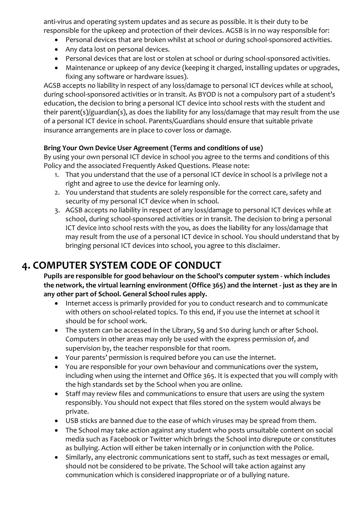anti-virus and operating system updates and as secure as possible. It is their duty to be responsible for the upkeep and protection of their devices. AGSB is in no way responsible for:

- Personal devices that are broken whilst at school or during school-sponsored activities.
- Any data lost on personal devices.
- Personal devices that are lost or stolen at school or during school-sponsored activities.
- Maintenance or upkeep of any device (keeping it charged, installing updates or upgrades, fixing any software or hardware issues).

AGSB accepts no liability in respect of any loss/damage to personal ICT devices while at school, during school-sponsored activities or in transit. As BYOD is not a compulsory part of a student's education, the decision to bring a personal ICT device into school rests with the student and their parent(s)/guardian(s), as does the liability for any loss/damage that may result from the use of a personal ICT device in school. Parents/Guardians should ensure that suitable private insurance arrangements are in place to cover loss or damage.

### **Bring Your Own Device User Agreement (Terms and conditions of use)**

By using your own personal ICT device in school you agree to the terms and conditions of this Policy and the associated Frequently Asked Questions. Please note:

- 1. That you understand that the use of a personal ICT device in school is a privilege not a right and agree to use the device for learning only.
- 2. You understand that students are solely responsible for the correct care, safety and security of my personal ICT device when in school.
- 3. AGSB accepts no liability in respect of any loss/damage to personal ICT devices while at school, during school-sponsored activities or in transit. The decision to bring a personal ICT device into school rests with the you, as does the liability for any loss/damage that may result from the use of a personal ICT device in school. You should understand that by bringing personal ICT devices into school, you agree to this disclaimer.

# **4. COMPUTER SYSTEM CODE OF CONDUCT**

**Pupils are responsible for good behaviour on the School's computer system - which includes the network, the virtual learning environment (Office 365) and the internet - just as they are in any other part of School. General School rules apply.**

- Internet access is primarily provided for you to conduct research and to communicate with others on school-related topics. To this end, if you use the internet at school it should be for school work.
- The system can be accessed in the Library, S9 and S10 during lunch or after School. Computers in other areas may only be used with the express permission of, and supervision by, the teacher responsible for that room.
- Your parents' permission is required before you can use the internet.
- You are responsible for your own behaviour and communications over the system, including when using the internet and Office 365. It is expected that you will comply with the high standards set by the School when you are online.
- Staff may review files and communications to ensure that users are using the system responsibly. You should not expect that files stored on the system would always be private.
- USB sticks are banned due to the ease of which viruses may be spread from them.
- The School may take action against any student who posts unsuitable content on social media such as Facebook or Twitter which brings the School into disrepute or constitutes as bullying. Action will either be taken internally or in conjunction with the Police.
- Similarly, any electronic communications sent to staff, such as text messages or email, should not be considered to be private. The School will take action against any communication which is considered inappropriate or of a bullying nature.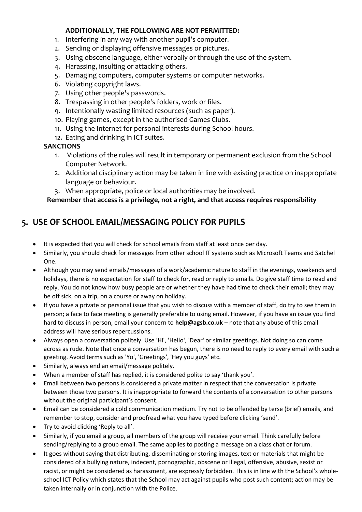### **ADDITIONALLY, THE FOLLOWING ARE NOT PERMITTED:**

- 1. Interfering in any way with another pupil's computer.
- 2. Sending or displaying offensive messages or pictures.
- 3. Using obscene language, either verbally or through the use of the system.
- 4. Harassing, insulting or attacking others.
- 5. Damaging computers, computer systems or computer networks.
- 6. Violating copyright laws.
- 7. Using other people's passwords.
- 8. Trespassing in other people's folders, work or files.
- 9. Intentionally wasting limited resources (such as paper).
- 10. Playing games, except in the authorised Games Clubs.
- 11. Using the Internet for personal interests during School hours.
- 12. Eating and drinking in ICT suites.

### **SANCTIONS**

- 1. Violations of the rules will result in temporary or permanent exclusion from the School Computer Network.
- 2. Additional disciplinary action may be taken in line with existing practice on inappropriate language or behaviour.
- 3. When appropriate, police or local authorities may be involved.

### **Remember that access is a privilege, not a right, and that access requires responsibility**

# **5. USE OF SCHOOL EMAIL/MESSAGING POLICY FOR PUPILS**

- It is expected that you will check for school emails from staff at least once per day.
- Similarly, you should check for messages from other school IT systems such as Microsoft Teams and Satchel One.
- Although you may send emails/messages of a work/academic nature to staff in the evenings, weekends and holidays, there is no expectation for staff to check for, read or reply to emails. Do give staff time to read and reply. You do not know how busy people are or whether they have had time to check their email; they may be off sick, on a trip, on a course or away on holiday.
- If you have a private or personal issue that you wish to discuss with a member of staff, do try to see them in person; a face to face meeting is generally preferable to using email. However, if you have an issue you find hard to discuss in person, email your concern to **help@agsb.co.uk** – note that any abuse of this email address will have serious repercussions.
- Always open a conversation politely. Use 'Hi', 'Hello', 'Dear' or similar greetings. Not doing so can come across as rude. Note that once a conversation has begun, there is no need to reply to every email with such a greeting. Avoid terms such as 'Yo', 'Greetings', 'Hey you guys' etc.
- Similarly, always end an email/message politely.
- When a member of staff has replied, it is considered polite to say 'thank you'.
- Email between two persons is considered a private matter in respect that the conversation is private between those two persons. It is inappropriate to forward the contents of a conversation to other persons without the original participant's consent.
- Email can be considered a cold communication medium. Try not to be offended by terse (brief) emails, and remember to stop, consider and proofread what you have typed before clicking 'send'.
- Try to avoid clicking 'Reply to all'.
- Similarly, if you email a group, all members of the group will receive your email. Think carefully before sending/replying to a group email. The same applies to posting a message on a class chat or forum.
- It goes without saying that distributing, disseminating or storing images, text or materials that might be considered of a bullying nature, indecent, pornographic, obscene or illegal, offensive, abusive, sexist or racist, or might be considered as harassment, are expressly forbidden. This is in line with the School's wholeschool ICT Policy which states that the School may act against pupils who post such content; action may be taken internally or in conjunction with the Police.